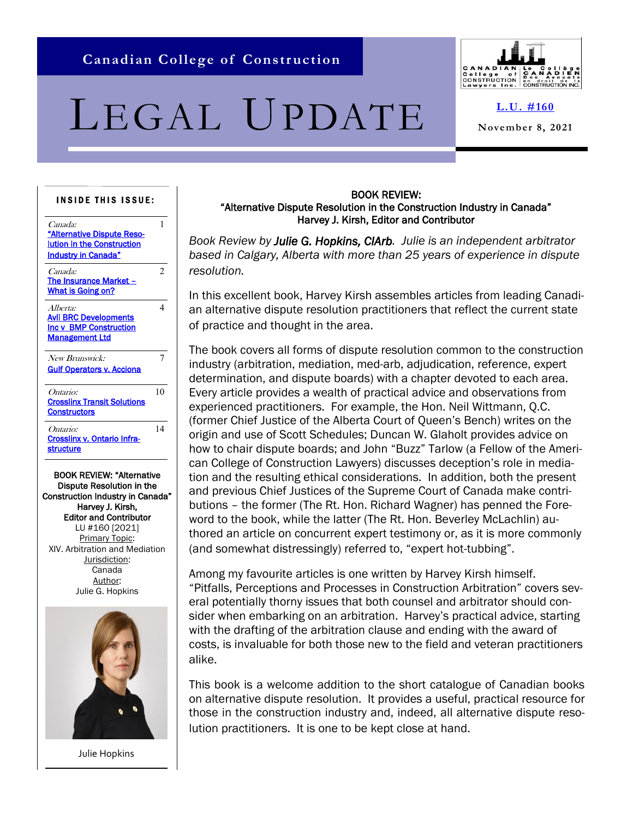# <span id="page-0-0"></span>LEGAL UPDATE



**[L.U. #160](#page-0-0)**

**November 8, 2021**

#### **INSIDE THIS ISSUE:**

| Canada:<br>"Alternative Dispute Reso-<br><b>Iution in the Construction</b><br><b>Industry in Canada"</b>                                        | 1              |
|-------------------------------------------------------------------------------------------------------------------------------------------------|----------------|
| <i>Canada:</i><br>The Insurance Market -<br>What is Going on?                                                                                   | $\mathfrak{D}$ |
| Alberta:<br><b>Avli BRC Developments</b><br><b>Inc v BMP Construction</b><br><b>Management Ltd</b>                                              | 4              |
| New Brunswick:<br><b>Gulf Operators v. Acciona</b>                                                                                              | 7              |
| Ontario:<br><b>Crosslinx Transit Solutions</b><br><b>Constructors</b>                                                                           | 1 <sub>0</sub> |
| Ontario:<br>Crosslinx v. Ontario Infra-<br><b>structure</b>                                                                                     | 14             |
| <b>BOOK REVIEW: "Alternative</b><br>Dispute Resolution in the<br>Construction Industry in Canada"<br>Harvey J. Kirsh,<br>Editar and Cantributer |                |

Editor and Contributor LU #160 [2021] Primary Topic: XIV. Arbitration and Mediation Jurisdiction: Canada Author: Julie G. Hopkins



Julie Hopkins

#### BOOK REVIEW: "Alternative Dispute Resolution in the Construction Industry in Canada" Harvey J. Kirsh, Editor and Contributor

*Book Review by Julie G. Hopkins, CIArb. Julie is an independent arbitrator based in Calgary, Alberta with more than 25 years of experience in dispute resolution.*

In this excellent book, Harvey Kirsh assembles articles from leading Canadian alternative dispute resolution practitioners that reflect the current state of practice and thought in the area.

The book covers all forms of dispute resolution common to the construction industry (arbitration, mediation, med-arb, adjudication, reference, expert determination, and dispute boards) with a chapter devoted to each area. Every article provides a wealth of practical advice and observations from experienced practitioners. For example, the Hon. Neil Wittmann, Q.C. (former Chief Justice of the Alberta Court of Queen's Bench) writes on the origin and use of Scott Schedules; Duncan W. Glaholt provides advice on how to chair dispute boards; and John "Buzz" Tarlow (a Fellow of the American College of Construction Lawyers) discusses deception's role in mediation and the resulting ethical considerations. In addition, both the present and previous Chief Justices of the Supreme Court of Canada make contributions – the former (The Rt. Hon. Richard Wagner) has penned the Foreword to the book, while the latter (The Rt. Hon. Beverley McLachlin) authored an article on concurrent expert testimony or, as it is more commonly (and somewhat distressingly) referred to, "expert hot-tubbing".

Among my favourite articles is one written by Harvey Kirsh himself. "Pitfalls, Perceptions and Processes in Construction Arbitration" covers several potentially thorny issues that both counsel and arbitrator should consider when embarking on an arbitration. Harvey's practical advice, starting with the drafting of the arbitration clause and ending with the award of costs, is invaluable for both those new to the field and veteran practitioners alike.

This book is a welcome addition to the short catalogue of Canadian books on alternative dispute resolution. It provides a useful, practical resource for those in the construction industry and, indeed, all alternative dispute resolution practitioners. It is one to be kept close at hand.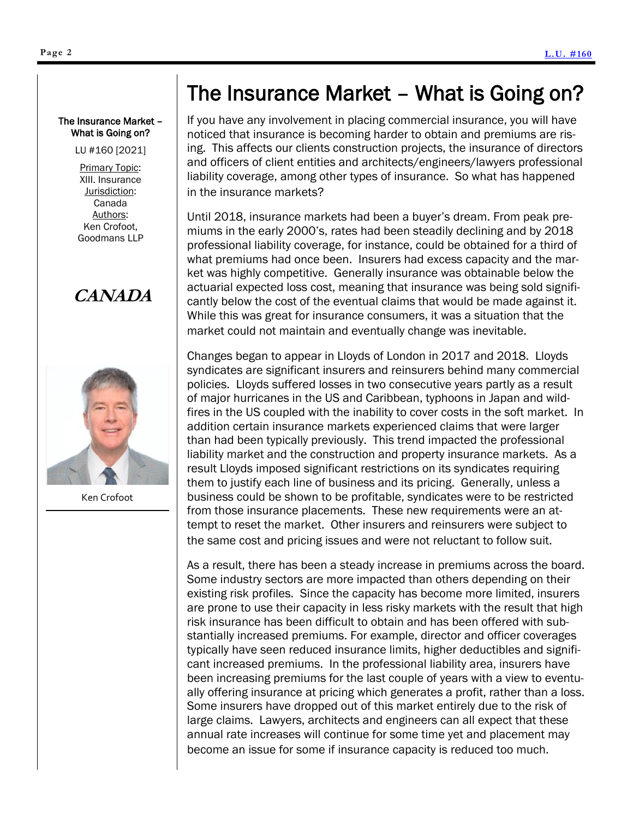<span id="page-1-0"></span>LU #160 [2021]

Primary Topic: XIII. Insurance Jurisdiction: Canada Authors: Ken Crofoot, Goodmans LLP

# **CANADA**



Ken Crofoot

# The Insurance Market – What is Going on?

If you have any involvement in placing commercial insurance, you will have noticed that insurance is becoming harder to obtain and premiums are rising. This affects our clients construction projects, the insurance of directors and officers of client entities and architects/engineers/lawyers professional liability coverage, among other types of insurance. So what has happened in the insurance markets?

Until 2018, insurance markets had been a buyer's dream. From peak premiums in the early 2000's, rates had been steadily declining and by 2018 professional liability coverage, for instance, could be obtained for a third of what premiums had once been. Insurers had excess capacity and the market was highly competitive. Generally insurance was obtainable below the actuarial expected loss cost, meaning that insurance was being sold significantly below the cost of the eventual claims that would be made against it. While this was great for insurance consumers, it was a situation that the market could not maintain and eventually change was inevitable.

Changes began to appear in Lloyds of London in 2017 and 2018. Lloyds syndicates are significant insurers and reinsurers behind many commercial policies. Lloyds suffered losses in two consecutive years partly as a result of major hurricanes in the US and Caribbean, typhoons in Japan and wildfires in the US coupled with the inability to cover costs in the soft market. In addition certain insurance markets experienced claims that were larger than had been typically previously. This trend impacted the professional liability market and the construction and property insurance markets. As a result Lloyds imposed significant restrictions on its syndicates requiring them to justify each line of business and its pricing. Generally, unless a business could be shown to be profitable, syndicates were to be restricted from those insurance placements. These new requirements were an attempt to reset the market. Other insurers and reinsurers were subject to the same cost and pricing issues and were not reluctant to follow suit.

As a result, there has been a steady increase in premiums across the board. Some industry sectors are more impacted than others depending on their existing risk profiles. Since the capacity has become more limited, insurers are prone to use their capacity in less risky markets with the result that high risk insurance has been difficult to obtain and has been offered with substantially increased premiums. For example, director and officer coverages typically have seen reduced insurance limits, higher deductibles and significant increased premiums. In the professional liability area, insurers have been increasing premiums for the last couple of years with a view to eventually offering insurance at pricing which generates a profit, rather than a loss. Some insurers have dropped out of this market entirely due to the risk of large claims. Lawyers, architects and engineers can all expect that these annual rate increases will continue for some time yet and placement may become an issue for some if insurance capacity is reduced too much.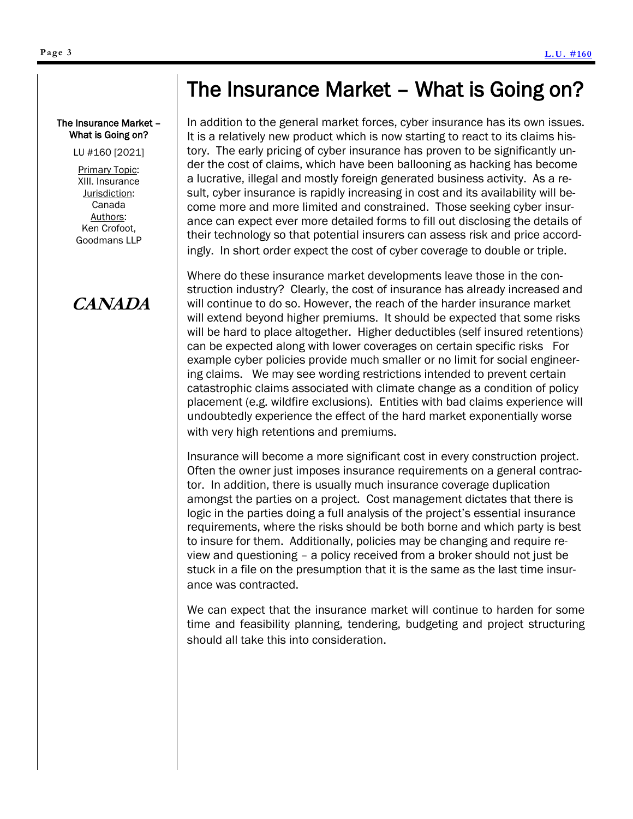#### The Insurance Market – What is Going on?

LU #160 [2021]

Primary Topic: XIII. Insurance Jurisdiction: Canada Authors: Ken Crofoot, Goodmans LLP

# **CANADA**

# The Insurance Market – What is Going on?

In addition to the general market forces, cyber insurance has its own issues. It is a relatively new product which is now starting to react to its claims history. The early pricing of cyber insurance has proven to be significantly under the cost of claims, which have been ballooning as hacking has become a lucrative, illegal and mostly foreign generated business activity. As a result, cyber insurance is rapidly increasing in cost and its availability will become more and more limited and constrained. Those seeking cyber insurance can expect ever more detailed forms to fill out disclosing the details of their technology so that potential insurers can assess risk and price accordingly. In short order expect the cost of cyber coverage to double or triple.

Where do these insurance market developments leave those in the construction industry? Clearly, the cost of insurance has already increased and will continue to do so. However, the reach of the harder insurance market will extend beyond higher premiums. It should be expected that some risks will be hard to place altogether. Higher deductibles (self insured retentions) can be expected along with lower coverages on certain specific risks For example cyber policies provide much smaller or no limit for social engineering claims. We may see wording restrictions intended to prevent certain catastrophic claims associated with climate change as a condition of policy placement (e.g. wildfire exclusions). Entities with bad claims experience will undoubtedly experience the effect of the hard market exponentially worse with very high retentions and premiums.

Insurance will become a more significant cost in every construction project. Often the owner just imposes insurance requirements on a general contractor. In addition, there is usually much insurance coverage duplication amongst the parties on a project. Cost management dictates that there is logic in the parties doing a full analysis of the project's essential insurance requirements, where the risks should be both borne and which party is best to insure for them. Additionally, policies may be changing and require review and questioning – a policy received from a broker should not just be stuck in a file on the presumption that it is the same as the last time insurance was contracted.

We can expect that the insurance market will continue to harden for some time and feasibility planning, tendering, budgeting and project structuring should all take this into consideration.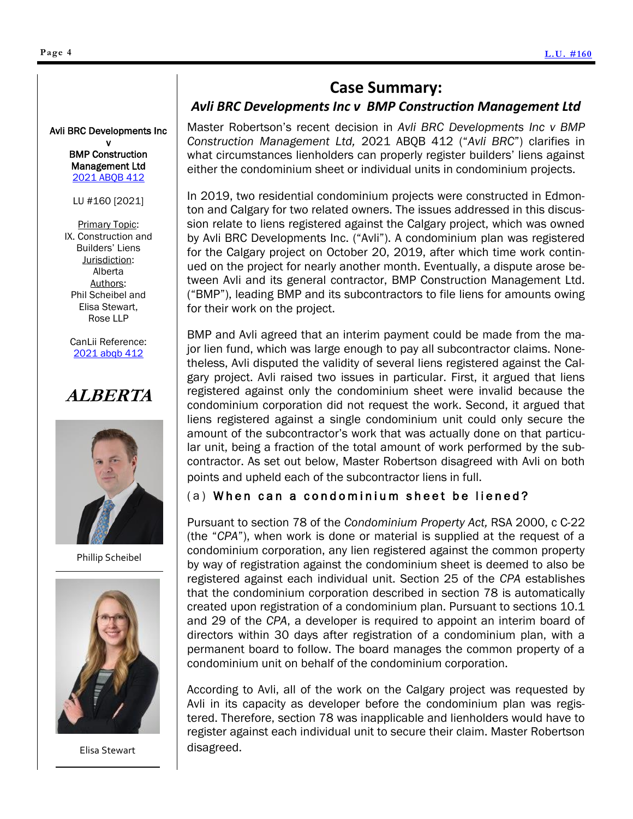### **Case Summary:**

### *Avli BRC Developments Inc v BMP Construction Management Ltd*

<span id="page-3-0"></span>Avli BRC Developments Inc

v BMP Construction Management Ltd [2021 ABQB 412](https://www.canlii.org/en/ab/abqb/doc/2021/2021abqb412/2021abqb412.html?resultIndex=1)

LU #160 [2021]

**Primary Topic:** IX. Construction and Builders' Liens Jurisdiction: Alberta Authors: Phil Scheibel and Elisa Stewart, Rose LLP

CanLii Reference: [2021 abqb 412](https://www.canlii.org/en/ab/abqb/doc/2021/2021abqb412/2021abqb412.html?resultIndex=1)

# **ALBERTA**



Phillip Scheibel



Elisa Stewart

Master Robertson's recent decision in *Avli BRC Developments Inc v BMP Construction Management Ltd,* 2021 ABQB 412 ("*Avli BRC*") clarifies in what circumstances lienholders can properly register builders' liens against either the condominium sheet or individual units in condominium projects.

In 2019, two residential condominium projects were constructed in Edmonton and Calgary for two related owners. The issues addressed in this discussion relate to liens registered against the Calgary project, which was owned by Avli BRC Developments Inc. ("Avli"). A condominium plan was registered for the Calgary project on October 20, 2019, after which time work continued on the project for nearly another month. Eventually, a dispute arose between Avli and its general contractor, BMP Construction Management Ltd. ("BMP"), leading BMP and its subcontractors to file liens for amounts owing for their work on the project.

BMP and Avli agreed that an interim payment could be made from the major lien fund, which was large enough to pay all subcontractor claims. Nonetheless, Avli disputed the validity of several liens registered against the Calgary project. Avli raised two issues in particular. First, it argued that liens registered against only the condominium sheet were invalid because the condominium corporation did not request the work. Second, it argued that liens registered against a single condominium unit could only secure the amount of the subcontractor's work that was actually done on that particular unit, being a fraction of the total amount of work performed by the subcontractor. As set out below, Master Robertson disagreed with Avli on both points and upheld each of the subcontractor liens in full.

### (a) When can a condominium sheet be liened?

Pursuant to section 78 of the *Condominium Property Act,* RSA 2000, c C-22 (the "*CPA*"), when work is done or material is supplied at the request of a condominium corporation, any lien registered against the common property by way of registration against the condominium sheet is deemed to also be registered against each individual unit. Section 25 of the *CPA* establishes that the condominium corporation described in section 78 is automatically created upon registration of a condominium plan. Pursuant to sections 10.1 and 29 of the *CPA*, a developer is required to appoint an interim board of directors within 30 days after registration of a condominium plan, with a permanent board to follow. The board manages the common property of a condominium unit on behalf of the condominium corporation.

According to Avli, all of the work on the Calgary project was requested by Avli in its capacity as developer before the condominium plan was registered. Therefore, section 78 was inapplicable and lienholders would have to register against each individual unit to secure their claim. Master Robertson disagreed.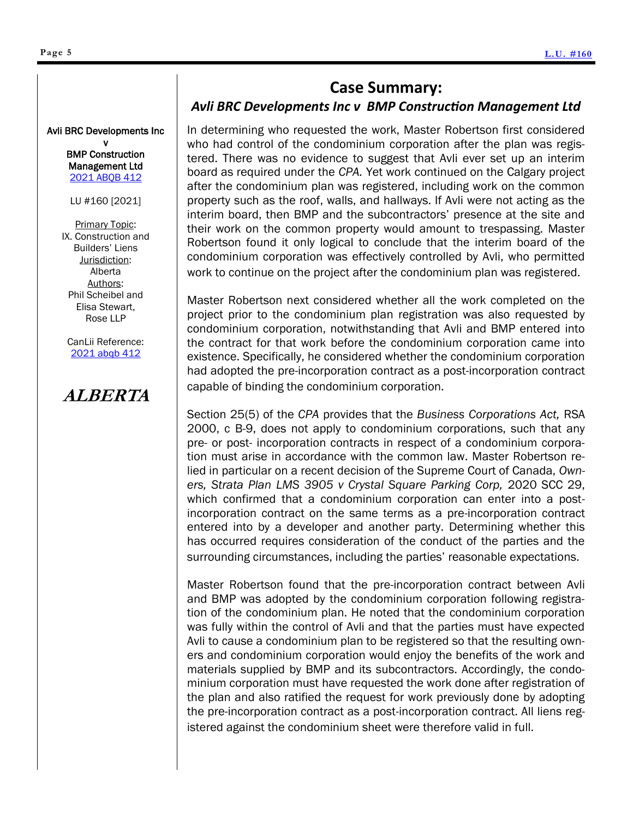### **Case Summary:**

#### *Avli BRC Developments Inc v BMP Construction Management Ltd*

In determining who requested the work, Master Robertson first considered who had control of the condominium corporation after the plan was registered. There was no evidence to suggest that Avli ever set up an interim board as required under the *CPA.* Yet work continued on the Calgary project after the condominium plan was registered, including work on the common property such as the roof, walls, and hallways. If Avli were not acting as the interim board, then BMP and the subcontractors' presence at the site and their work on the common property would amount to trespassing. Master Robertson found it only logical to conclude that the interim board of the condominium corporation was effectively controlled by Avli, who permitted work to continue on the project after the condominium plan was registered.

Master Robertson next considered whether all the work completed on the project prior to the condominium plan registration was also requested by condominium corporation, notwithstanding that Avli and BMP entered into the contract for that work before the condominium corporation came into existence. Specifically, he considered whether the condominium corporation had adopted the pre-incorporation contract as a post-incorporation contract capable of binding the condominium corporation.

Section 25(5) of the *CPA* provides that the *Business Corporations Act,* RSA 2000, c B-9, does not apply to condominium corporations, such that any pre- or post- incorporation contracts in respect of a condominium corporation must arise in accordance with the common law. Master Robertson relied in particular on a recent decision of the Supreme Court of Canada, *Owners, Strata Plan LMS 3905 v Crystal Square Parking Corp,* 2020 SCC 29, which confirmed that a condominium corporation can enter into a postincorporation contract on the same terms as a pre-incorporation contract entered into by a developer and another party. Determining whether this has occurred requires consideration of the conduct of the parties and the surrounding circumstances, including the parties' reasonable expectations.

Master Robertson found that the pre-incorporation contract between Avli and BMP was adopted by the condominium corporation following registration of the condominium plan. He noted that the condominium corporation was fully within the control of Avli and that the parties must have expected Avli to cause a condominium plan to be registered so that the resulting owners and condominium corporation would enjoy the benefits of the work and materials supplied by BMP and its subcontractors. Accordingly, the condominium corporation must have requested the work done after registration of the plan and also ratified the request for work previously done by adopting the pre-incorporation contract as a post-incorporation contract. All liens registered against the condominium sheet were therefore valid in full.

Avli BRC Developments Inc v BMP Construction

> Management Ltd [2021 ABQB 412](https://www.canlii.org/en/ab/abqb/doc/2021/2021abqb412/2021abqb412.html?resultIndex=1)

LU #160 [2021]

Primary Topic: IX. Construction and Builders' Liens Jurisdiction: Alberta Authors: Phil Scheibel and Elisa Stewart, Rose LLP

CanLii Reference: [2021 abqb 412](https://www.canlii.org/en/ab/abqb/doc/2021/2021abqb412/2021abqb412.html?resultIndex=1)

# **ALBERTA**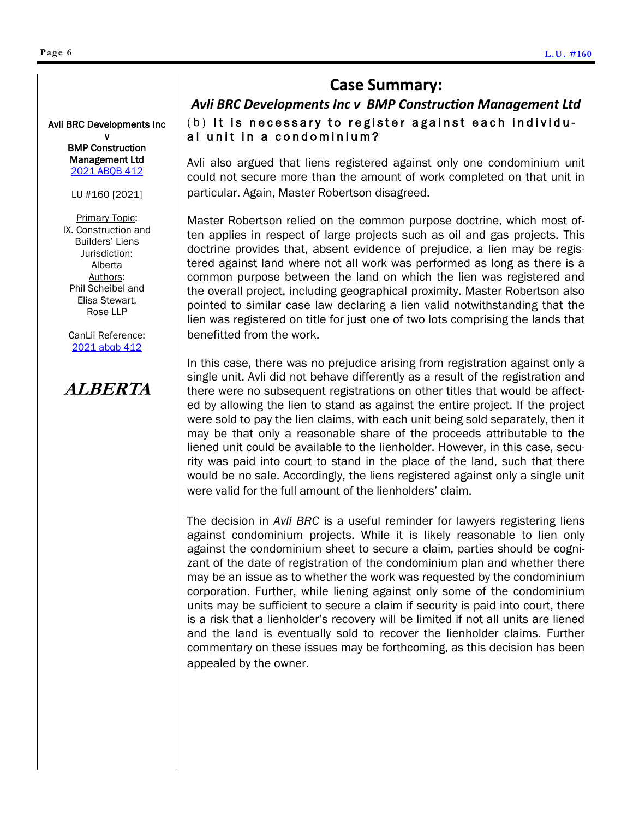### **Case Summary:**

### (b) It is necessary to register against each individual unit in a condominium? *Avli BRC Developments Inc v BMP Construction Management Ltd*

Avli also argued that liens registered against only one condominium unit could not secure more than the amount of work completed on that unit in particular. Again, Master Robertson disagreed.

Master Robertson relied on the common purpose doctrine, which most often applies in respect of large projects such as oil and gas projects. This doctrine provides that, absent evidence of prejudice, a lien may be registered against land where not all work was performed as long as there is a common purpose between the land on which the lien was registered and the overall project, including geographical proximity. Master Robertson also pointed to similar case law declaring a lien valid notwithstanding that the lien was registered on title for just one of two lots comprising the lands that benefitted from the work.

In this case, there was no prejudice arising from registration against only a single unit. Avli did not behave differently as a result of the registration and there were no subsequent registrations on other titles that would be affected by allowing the lien to stand as against the entire project. If the project were sold to pay the lien claims, with each unit being sold separately, then it may be that only a reasonable share of the proceeds attributable to the liened unit could be available to the lienholder. However, in this case, security was paid into court to stand in the place of the land, such that there would be no sale. Accordingly, the liens registered against only a single unit were valid for the full amount of the lienholders' claim.

The decision in *Avli BRC* is a useful reminder for lawyers registering liens against condominium projects. While it is likely reasonable to lien only against the condominium sheet to secure a claim, parties should be cognizant of the date of registration of the condominium plan and whether there may be an issue as to whether the work was requested by the condominium corporation. Further, while liening against only some of the condominium units may be sufficient to secure a claim if security is paid into court, there is a risk that a lienholder's recovery will be limited if not all units are liened and the land is eventually sold to recover the lienholder claims. Further commentary on these issues may be forthcoming, as this decision has been appealed by the owner.

#### Avli BRC Developments Inc

v BMP Construction Management Ltd [2021 ABQB 412](https://www.canlii.org/en/ab/abqb/doc/2021/2021abqb412/2021abqb412.html?resultIndex=1)

LU #160 [2021]

Primary Topic: IX. Construction and Builders' Liens Jurisdiction: Alberta Authors: Phil Scheibel and Elisa Stewart, Rose LLP

CanLii Reference: [2021 abqb 412](https://www.canlii.org/en/ab/abqb/doc/2021/2021abqb412/2021abqb412.html?resultIndex=1)

# **ALBERTA**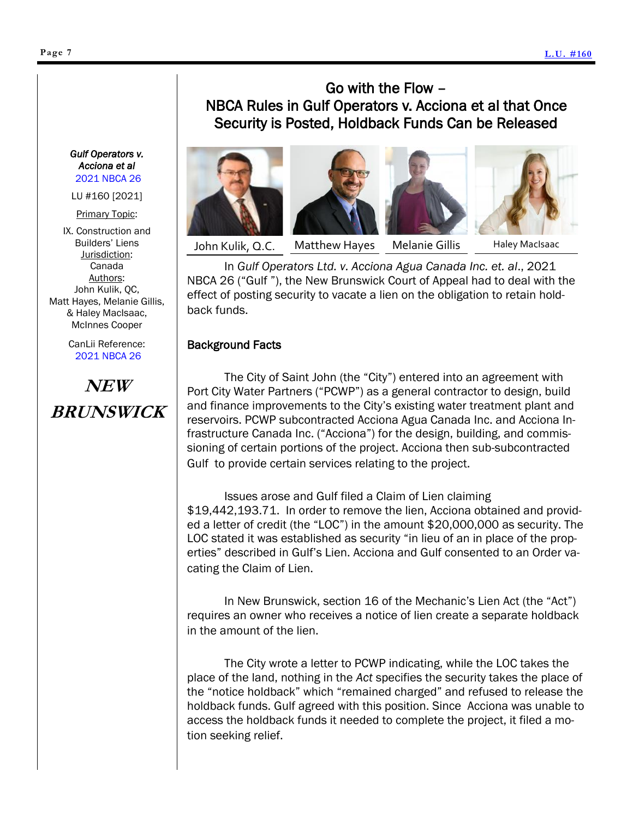#### <span id="page-6-0"></span>**Page 7**

### Go with the Flow – NBCA Rules in Gulf Operators v. Acciona et al that Once Security is Posted, Holdback Funds Can be Released







John Kulik, Q.C.

Matthew Hayes Melanie Gillis Haley MacIsaac

In *Gulf Operators Ltd. v. Acciona Agua Canada Inc. et. al*., 2021 NBCA 26 ("Gulf "), the New Brunswick Court of Appeal had to deal with the effect of posting security to vacate a lien on the obligation to retain holdback funds.

#### Background Facts

The City of Saint John (the "City") entered into an agreement with Port City Water Partners ("PCWP") as a general contractor to design, build and finance improvements to the City's existing water treatment plant and reservoirs. PCWP subcontracted Acciona Agua Canada Inc. and Acciona Infrastructure Canada Inc. ("Acciona") for the design, building, and commissioning of certain portions of the project. Acciona then sub-subcontracted Gulf to provide certain services relating to the project.

Issues arose and Gulf filed a Claim of Lien claiming \$19,442,193.71. In order to remove the lien, Acciona obtained and provided a letter of credit (the "LOC") in the amount \$20,000,000 as security. The LOC stated it was established as security "in lieu of an in place of the properties" described in Gulf's Lien. Acciona and Gulf consented to an Order vacating the Claim of Lien.

In New Brunswick, section 16 of the Mechanic's Lien Act (the "Act") requires an owner who receives a notice of lien create a separate holdback in the amount of the lien.

The City wrote a letter to PCWP indicating, while the LOC takes the place of the land, nothing in the *Act* specifies the security takes the place of the "notice holdback" which "remained charged" and refused to release the holdback funds. Gulf agreed with this position. Since Acciona was unable to access the holdback funds it needed to complete the project, it filed a motion seeking relief.

*Gulf Operators v. Acciona et al*  [2021 NBCA 26](https://www.canlii.org/en/nb/nbca/doc/2021/2021nbca26/2021nbca26.html?resultIndex=1)

LU #160 [2021]

Primary Topic:

IX. Construction and Builders' Liens Jurisdiction: Canada Authors: John Kulik, QC, Matt Hayes, Melanie Gillis, & Haley MacIsaac, McInnes Cooper

> CanLii Reference: [2021 NBCA 26](https://www.canlii.org/en/nb/nbca/doc/2021/2021nbca26/2021nbca26.html?resultIndex=1)

**NEW BRUNSWICK**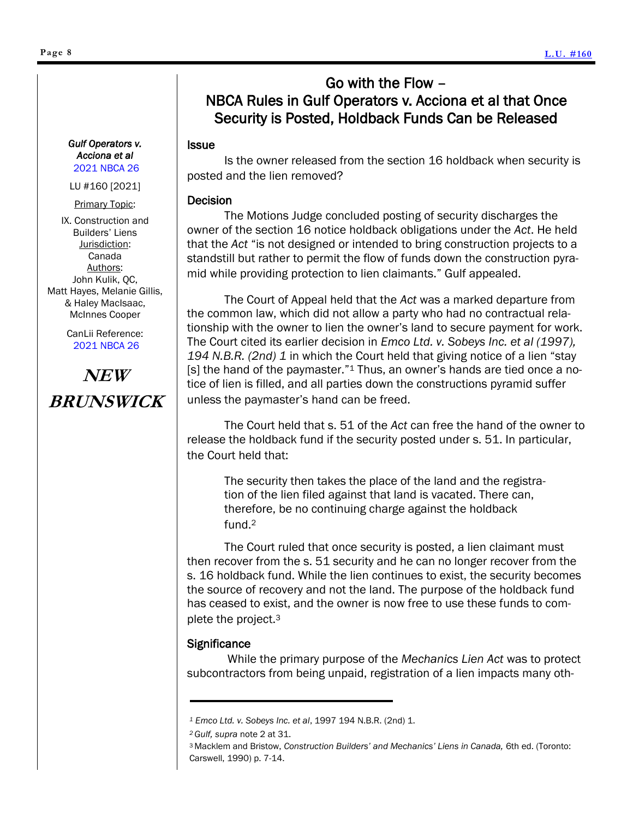### Go with the Flow – NBCA Rules in Gulf Operators v. Acciona et al that Once Security is Posted, Holdback Funds Can be Released

#### Issue

Is the owner released from the section 16 holdback when security is posted and the lien removed?

#### Decision

The Motions Judge concluded posting of security discharges the owner of the section 16 notice holdback obligations under the *Act*. He held that the *Act* "is not designed or intended to bring construction projects to a standstill but rather to permit the flow of funds down the construction pyramid while providing protection to lien claimants." Gulf appealed.

The Court of Appeal held that the *Act* was a marked departure from the common law, which did not allow a party who had no contractual relationship with the owner to lien the owner's land to secure payment for work. The Court cited its earlier decision in *Emco Ltd. v. Sobeys Inc. et al (1997), 194 N.B.R. (2nd) 1* in which the Court held that giving notice of a lien "stay [s] the hand of the paymaster."<sup>1</sup> Thus, an owner's hands are tied once a notice of lien is filled, and all parties down the constructions pyramid suffer unless the paymaster's hand can be freed.

The Court held that s. 51 of the *Act* can free the hand of the owner to release the holdback fund if the security posted under s. 51. In particular, the Court held that:

The security then takes the place of the land and the registration of the lien filed against that land is vacated. There can, therefore, be no continuing charge against the holdback fund.<sup>2</sup>

The Court ruled that once security is posted, a lien claimant must then recover from the s. 51 security and he can no longer recover from the s. 16 holdback fund. While the lien continues to exist, the security becomes the source of recovery and not the land. The purpose of the holdback fund has ceased to exist, and the owner is now free to use these funds to complete the project.<sup>3</sup>

#### **Significance**

While the primary purpose of the *Mechanics Lien Act* was to protect subcontractors from being unpaid, registration of a lien impacts many oth-

#### *Gulf Operators v. Acciona et al*  [2021 NBCA 26](https://www.canlii.org/en/nb/nbca/doc/2021/2021nbca26/2021nbca26.html?resultIndex=1)

LU #160 [2021]

Primary Topic:

IX. Construction and Builders' Liens Jurisdiction: Canada Authors: John Kulik, QC, Matt Hayes, Melanie Gillis, & Haley MacIsaac, McInnes Cooper

> CanLii Reference: [2021 NBCA 26](https://www.canlii.org/en/nb/nbca/doc/2021/2021nbca26/2021nbca26.html?resultIndex=1)

# **NEW BRUNSWICK**

*<sup>1</sup> Emco Ltd. v. Sobeys Inc. et al*, 1997 194 N.B.R. (2nd) 1.

*<sup>2</sup>Gulf, supra* note 2 at 31.

<sup>3</sup>Macklem and Bristow, *Construction Builders' and Mechanics' Liens in Canada,* 6th ed. (Toronto: Carswell, 1990) p. 7-14.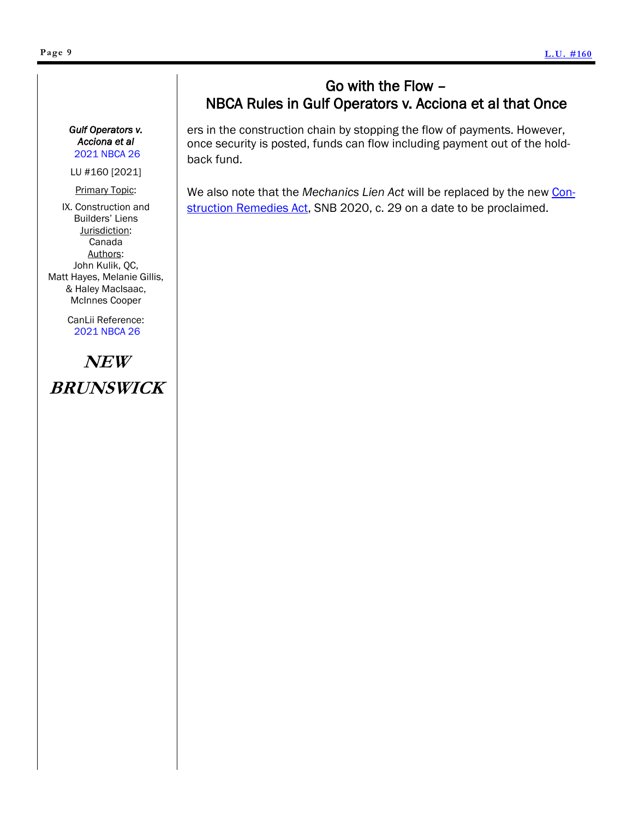### Go with the Flow – NBCA Rules in Gulf Operators v. Acciona et al that Once

ers in the construction chain by stopping the flow of payments. However, once security is posted, funds can flow including payment out of the holdback fund.

We also note that the *Mechanics Lien Act* will be replaced by the new [Con](http://laws.gnb.ca/en/ShowTdm/cs/2020-c.29/)[struction Remedies Act,](http://laws.gnb.ca/en/ShowTdm/cs/2020-c.29/) SNB 2020, c. 29 on a date to be proclaimed.

#### *Gulf Operators v. Acciona et al*  [2021 NBCA 26](https://www.canlii.org/en/nb/nbca/doc/2021/2021nbca26/2021nbca26.html?resultIndex=1)

LU #160 [2021]

Primary Topic: IX. Construction and Builders' Liens Jurisdiction: Canada Authors: John Kulik, QC, Matt Hayes, Melanie Gillis, & Haley MacIsaac,

> CanLii Reference: [2021 NBCA 26](https://www.canlii.org/en/nb/nbca/doc/2021/2021nbca26/2021nbca26.html?resultIndex=1)

McInnes Cooper

# **NEW BRUNSWICK**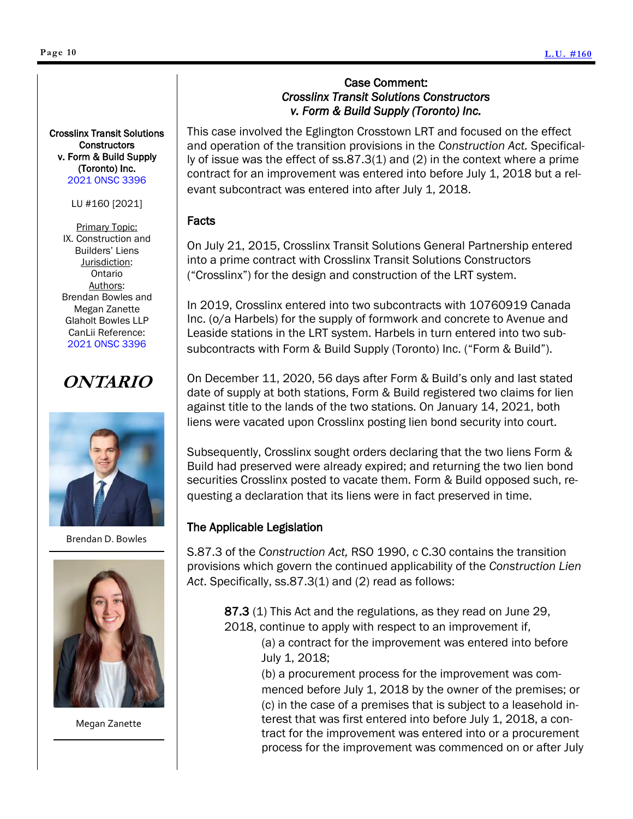#### <span id="page-9-0"></span>Crosslinx Transit Solutions **Constructors** v. Form & Build Supply (Toronto) Inc. [2021 ONSC 3396](https://www.canlii.org/en/on/onsc/doc/2021/2021onsc3396/2021onsc3396.html?resultIndex=2)

#### LU #160 [2021]

Primary Topic: IX. Construction and Builders' Liens Jurisdiction: Ontario Authors: Brendan Bowles and Megan Zanette Glaholt Bowles LLP CanLii Reference: [2021 ONSC 3396](https://www.canlii.org/en/on/onsc/doc/2021/2021onsc3396/2021onsc3396.html?resultIndex=2)

# **ONTARIO**



Brendan D. Bowles



Megan Zanette

#### Case Comment: *Crosslinx Transit Solutions Constructors v. Form & Build Supply (Toronto) Inc.*

This case involved the Eglington Crosstown LRT and focused on the effect and operation of the transition provisions in the *Construction Act.* Specifically of issue was the effect of ss.87.3(1) and (2) in the context where a prime contract for an improvement was entered into before July 1, 2018 but a relevant subcontract was entered into after July 1, 2018.

#### Facts

On July 21, 2015, Crosslinx Transit Solutions General Partnership entered into a prime contract with Crosslinx Transit Solutions Constructors ("Crosslinx") for the design and construction of the LRT system.

In 2019, Crosslinx entered into two subcontracts with 10760919 Canada Inc. (o/a Harbels) for the supply of formwork and concrete to Avenue and Leaside stations in the LRT system. Harbels in turn entered into two subsubcontracts with Form & Build Supply (Toronto) Inc. ("Form & Build").

On December 11, 2020, 56 days after Form & Build's only and last stated date of supply at both stations, Form & Build registered two claims for lien against title to the lands of the two stations. On January 14, 2021, both liens were vacated upon Crosslinx posting lien bond security into court.

Subsequently, Crosslinx sought orders declaring that the two liens Form & Build had preserved were already expired; and returning the two lien bond securities Crosslinx posted to vacate them. Form & Build opposed such, requesting a declaration that its liens were in fact preserved in time.

### The Applicable Legislation

S.87.3 of the *Construction Act,* RSO 1990, c C.30 contains the transition provisions which govern the continued applicability of the *Construction Lien Act*. Specifically, ss.87.3(1) and (2) read as follows:

87.3 (1) This Act and the regulations, as they read on June 29, 2018, continue to apply with respect to an improvement if,

(a) a contract for the improvement was entered into before July 1, 2018;

(b) a procurement process for the improvement was commenced before July 1, 2018 by the owner of the premises; or (c) in the case of a premises that is subject to a leasehold interest that was first entered into before July 1, 2018, a contract for the improvement was entered into or a procurement process for the improvement was commenced on or after July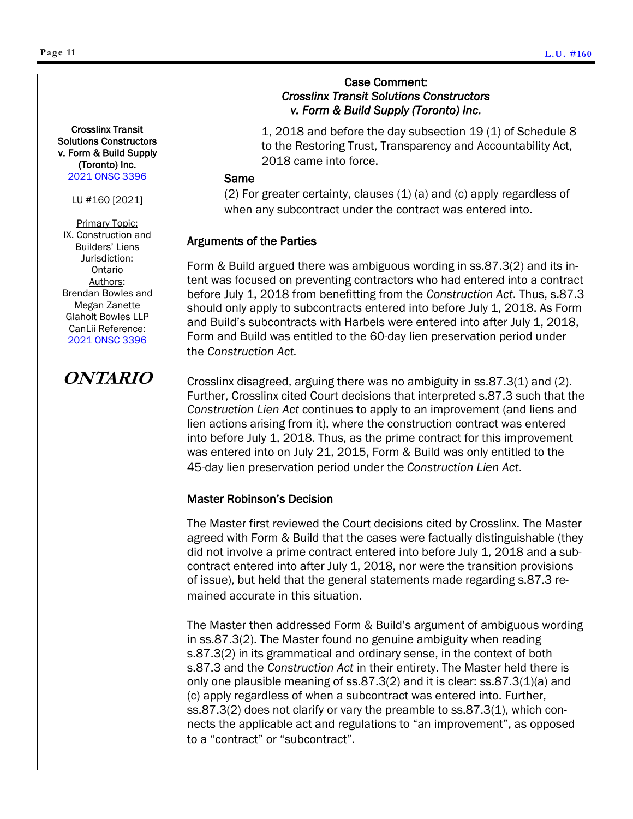#### Crosslinx Transit Solutions Constructors v. Form & Build Supply (Toronto) Inc. [2021 ONSC 3396](https://www.canlii.org/en/on/onsc/doc/2021/2021onsc3396/2021onsc3396.html?resultIndex=2)

LU #160 [2021]

Primary Topic: IX. Construction and Builders' Liens Jurisdiction: Ontario Authors: Brendan Bowles and Megan Zanette Glaholt Bowles LLP CanLii Reference: [2021 ONSC 3396](https://www.canlii.org/en/on/onsc/doc/2021/2021onsc3396/2021onsc3396.html?resultIndex=2)

### **ONTARIO**

#### Case Comment: *Crosslinx Transit Solutions Constructors v. Form & Build Supply (Toronto) Inc.*

1, 2018 and before the day subsection 19 (1) of Schedule 8 to the Restoring Trust, Transparency and Accountability Act, 2018 came into force.

#### Same

(2) For greater certainty, clauses (1) (a) and (c) apply regardless of when any subcontract under the contract was entered into.

#### Arguments of the Parties

Form & Build argued there was ambiguous wording in ss.87.3(2) and its intent was focused on preventing contractors who had entered into a contract before July 1, 2018 from benefitting from the *Construction Act*. Thus, s.87.3 should only apply to subcontracts entered into before July 1, 2018. As Form and Build's subcontracts with Harbels were entered into after July 1, 2018, Form and Build was entitled to the 60-day lien preservation period under the *Construction Act.*

Crosslinx disagreed, arguing there was no ambiguity in ss.87.3(1) and (2). Further, Crosslinx cited Court decisions that interpreted s.87.3 such that the *Construction Lien Act* continues to apply to an improvement (and liens and lien actions arising from it), where the construction contract was entered into before July 1, 2018. Thus, as the prime contract for this improvement was entered into on July 21, 2015, Form & Build was only entitled to the 45-day lien preservation period under the *Construction Lien Act*.

#### Master Robinson's Decision

The Master first reviewed the Court decisions cited by Crosslinx. The Master agreed with Form & Build that the cases were factually distinguishable (they did not involve a prime contract entered into before July 1, 2018 and a subcontract entered into after July 1, 2018, nor were the transition provisions of issue), but held that the general statements made regarding s.87.3 remained accurate in this situation.

The Master then addressed Form & Build's argument of ambiguous wording in ss.87.3(2). The Master found no genuine ambiguity when reading s.87.3(2) in its grammatical and ordinary sense, in the context of both s.87.3 and the *Construction Act* in their entirety. The Master held there is only one plausible meaning of ss.87.3(2) and it is clear: ss.87.3(1)(a) and (c) apply regardless of when a subcontract was entered into. Further, ss.87.3(2) does not clarify or vary the preamble to ss.87.3(1), which connects the applicable act and regulations to "an improvement", as opposed to a "contract" or "subcontract".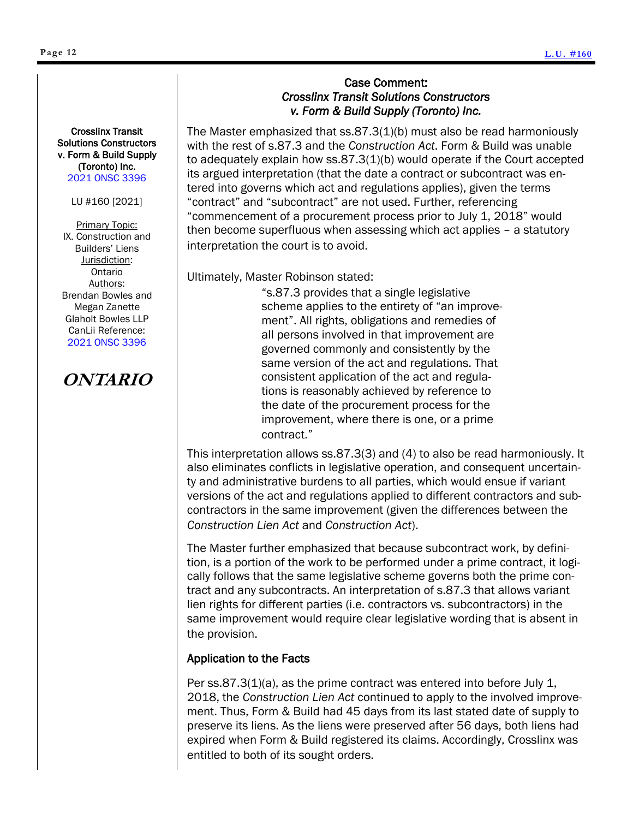#### Crosslinx Transit Solutions Constructors v. Form & Build Supply (Toronto) Inc. [2021 ONSC 3396](https://www.canlii.org/en/on/onsc/doc/2021/2021onsc3396/2021onsc3396.html?resultIndex=2)

LU #160 [2021]

Primary Topic: IX. Construction and Builders' Liens Jurisdiction: Ontario Authors: Brendan Bowles and Megan Zanette Glaholt Bowles LLP CanLii Reference: [2021 ONSC 3396](https://www.canlii.org/en/on/onsc/doc/2021/2021onsc3396/2021onsc3396.html?resultIndex=2)

### **ONTARIO**

#### Case Comment: *Crosslinx Transit Solutions Constructors v. Form & Build Supply (Toronto) Inc.*

The Master emphasized that  $ss.87.3(1)(b)$  must also be read harmoniously with the rest of s.87.3 and the *Construction Act*. Form & Build was unable to adequately explain how ss.87.3(1)(b) would operate if the Court accepted its argued interpretation (that the date a contract or subcontract was entered into governs which act and regulations applies), given the terms "contract" and "subcontract" are not used. Further, referencing "commencement of a procurement process prior to July 1, 2018" would then become superfluous when assessing which act applies – a statutory interpretation the court is to avoid.

Ultimately, Master Robinson stated:

"s.87.3 provides that a single legislative scheme applies to the entirety of "an improvement". All rights, obligations and remedies of all persons involved in that improvement are governed commonly and consistently by the same version of the act and regulations. That consistent application of the act and regulations is reasonably achieved by reference to the date of the procurement process for the improvement, where there is one, or a prime contract."

This interpretation allows ss.87.3(3) and (4) to also be read harmoniously. It also eliminates conflicts in legislative operation, and consequent uncertainty and administrative burdens to all parties, which would ensue if variant versions of the act and regulations applied to different contractors and subcontractors in the same improvement (given the differences between the *Construction Lien Act* and *Construction Act*).

The Master further emphasized that because subcontract work, by definition, is a portion of the work to be performed under a prime contract, it logically follows that the same legislative scheme governs both the prime contract and any subcontracts. An interpretation of s.87.3 that allows variant lien rights for different parties (i.e. contractors vs. subcontractors) in the same improvement would require clear legislative wording that is absent in the provision.

#### Application to the Facts

Per ss.87.3(1)(a), as the prime contract was entered into before July 1, 2018, the *Construction Lien Act* continued to apply to the involved improvement. Thus, Form & Build had 45 days from its last stated date of supply to preserve its liens. As the liens were preserved after 56 days, both liens had expired when Form & Build registered its claims. Accordingly, Crosslinx was entitled to both of its sought orders.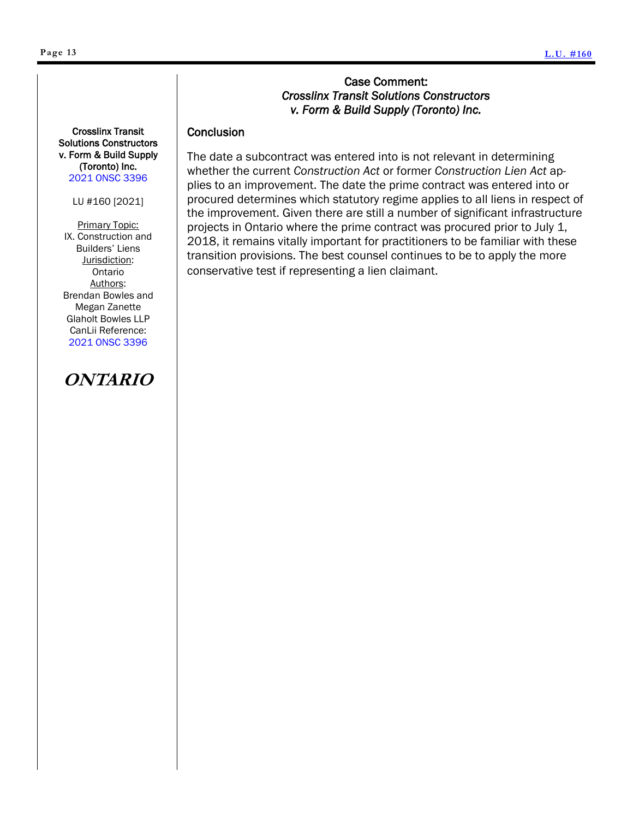#### Case Comment: *Crosslinx Transit Solutions Constructors v. Form & Build Supply (Toronto) Inc.*

#### **Conclusion**

The date a subcontract was entered into is not relevant in determining whether the current *Construction Act* or former *Construction Lien Act* applies to an improvement. The date the prime contract was entered into or procured determines which statutory regime applies to all liens in respect of the improvement. Given there are still a number of significant infrastructure projects in Ontario where the prime contract was procured prior to July 1, 2018, it remains vitally important for practitioners to be familiar with these transition provisions. The best counsel continues to be to apply the more conservative test if representing a lien claimant.

Crosslinx Transit Solutions Constructors v. Form & Build Supply (Toronto) Inc. [2021 ONSC 3396](https://www.canlii.org/en/on/onsc/doc/2021/2021onsc3396/2021onsc3396.html?resultIndex=2)

LU #160 [2021]

**Primary Topic:** IX. Construction and Builders' Liens Jurisdiction: Ontario Authors: Brendan Bowles and Megan Zanette Glaholt Bowles LLP CanLii Reference: [2021 ONSC 3396](https://www.canlii.org/en/on/onsc/doc/2021/2021onsc3396/2021onsc3396.html?resultIndex=2)

# **ONTARIO**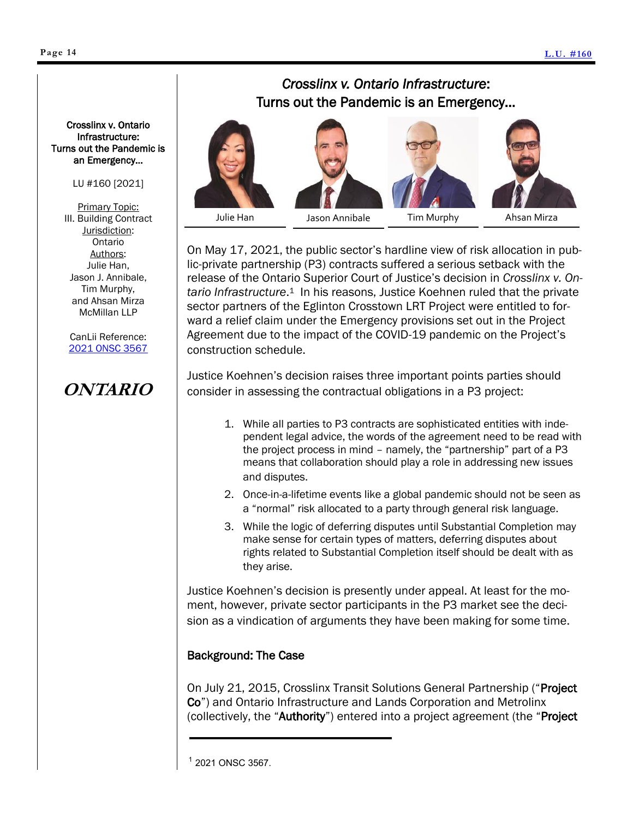#### <span id="page-13-0"></span>LU #160 [2021]

Primary Topic: III. Building Contract Jurisdiction: Ontario Authors: Julie Han, Jason J. Annibale, Tim Murphy, and Ahsan Mirza McMillan LLP

CanLii Reference: [2021 ONSC 3567](https://www.canlii.org/en/on/onsc/doc/2021/2021onsc3567/2021onsc3567.html?resultIndex=1)

## **ONTARIO**

### *Crosslinx v. Ontario Infrastructure*: Turns out the Pandemic is an Emergency…





Tim Murphy

On May 17, 2021, the public sector's hardline view of risk allocation in public-private partnership (P3) contracts suffered a serious setback with the release of the Ontario Superior Court of Justice's decision in *Crosslinx v. On*tario Infrastructure.<sup>1</sup> In his reasons, Justice Koehnen ruled that the private sector partners of the Eglinton Crosstown LRT Project were entitled to forward a relief claim under the Emergency provisions set out in the Project Agreement due to the impact of the COVID-19 pandemic on the Project's construction schedule.

Justice Koehnen's decision raises three important points parties should consider in assessing the contractual obligations in a P3 project:

- 1. While all parties to P3 contracts are sophisticated entities with independent legal advice, the words of the agreement need to be read with the project process in mind – namely, the "partnership" part of a P3 means that collaboration should play a role in addressing new issues and disputes.
- 2. Once-in-a-lifetime events like a global pandemic should not be seen as a "normal" risk allocated to a party through general risk language.
- 3. While the logic of deferring disputes until Substantial Completion may make sense for certain types of matters, deferring disputes about rights related to Substantial Completion itself should be dealt with as they arise.

Justice Koehnen's decision is presently under appeal. At least for the moment, however, private sector participants in the P3 market see the decision as a vindication of arguments they have been making for some time.

#### Background: The Case

On July 21, 2015, Crosslinx Transit Solutions General Partnership ("Project Co") and Ontario Infrastructure and Lands Corporation and Metrolinx (collectively, the "Authority") entered into a project agreement (the "Project

<sup>1</sup> 2021 ONSC 3567.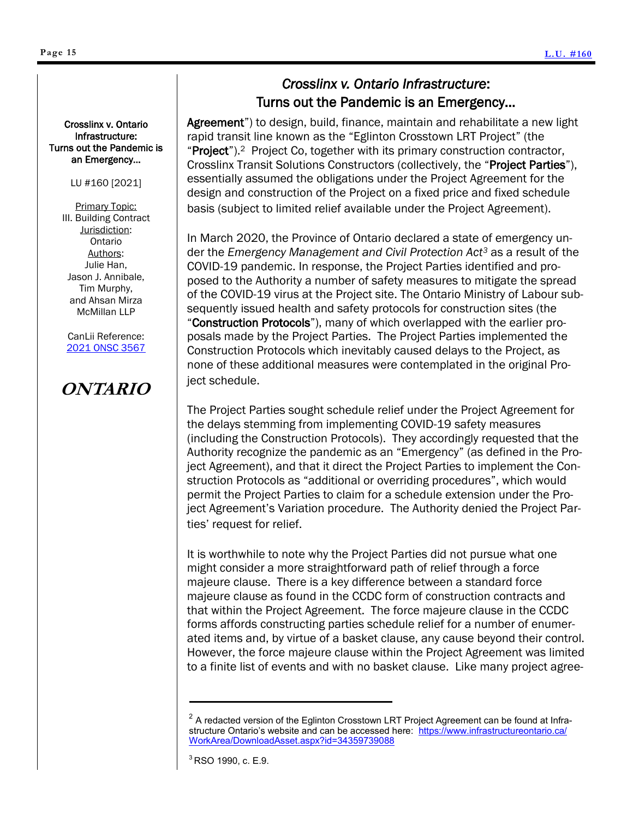Agreement") to design, build, finance, maintain and rehabilitate a new light rapid transit line known as the "Eglinton Crosstown LRT Project" (the "Project").<sup>2</sup> Project Co, together with its primary construction contractor, Crosslinx Transit Solutions Constructors (collectively, the "Project Parties"), essentially assumed the obligations under the Project Agreement for the design and construction of the Project on a fixed price and fixed schedule basis (subject to limited relief available under the Project Agreement).

In March 2020, the Province of Ontario declared a state of emergency under the *Emergency Management and Civil Protection Act<sup>3</sup>* as a result of the COVID-19 pandemic. In response, the Project Parties identified and proposed to the Authority a number of safety measures to mitigate the spread of the COVID-19 virus at the Project site. The Ontario Ministry of Labour subsequently issued health and safety protocols for construction sites (the "Construction Protocols"), many of which overlapped with the earlier proposals made by the Project Parties. The Project Parties implemented the Construction Protocols which inevitably caused delays to the Project, as none of these additional measures were contemplated in the original Project schedule.

The Project Parties sought schedule relief under the Project Agreement for the delays stemming from implementing COVID-19 safety measures (including the Construction Protocols). They accordingly requested that the Authority recognize the pandemic as an "Emergency" (as defined in the Project Agreement), and that it direct the Project Parties to implement the Construction Protocols as "additional or overriding procedures", which would permit the Project Parties to claim for a schedule extension under the Project Agreement's Variation procedure. The Authority denied the Project Parties' request for relief.

It is worthwhile to note why the Project Parties did not pursue what one might consider a more straightforward path of relief through a force majeure clause. There is a key difference between a standard force majeure clause as found in the CCDC form of construction contracts and that within the Project Agreement. The force majeure clause in the CCDC forms affords constructing parties schedule relief for a number of enumerated items and, by virtue of a basket clause, any cause beyond their control. However, the force majeure clause within the Project Agreement was limited to a finite list of events and with no basket clause. Like many project agree-

Crosslinx v. Ontario Infrastructure: Turns out the Pandemic is an Emergency… LU #160 [2021]

> Primary Topic: III. Building Contract Jurisdiction: Ontario Authors: Julie Han, Jason J. Annibale, Tim Murphy, and Ahsan Mirza McMillan LLP

CanLii Reference: [2021 ONSC 3567](https://www.canlii.org/en/on/onsc/doc/2021/2021onsc3567/2021onsc3567.html?resultIndex=1)

# **ONTARIO**

 $^{\rm 2}$  A redacted version of the Eglinton Crosstown LRT Project Agreement can be found at Infrastructure Ontario's website and can be accessed here: [https://www.infrastructureontario.ca/](https://www.infrastructureontario.ca/WorkArea/DownloadAsset.aspx?id=34359739088) [WorkArea/DownloadAsset.aspx?id=34359739088](https://www.infrastructureontario.ca/WorkArea/DownloadAsset.aspx?id=34359739088)

 $3$  RSO 1990, c. E.9.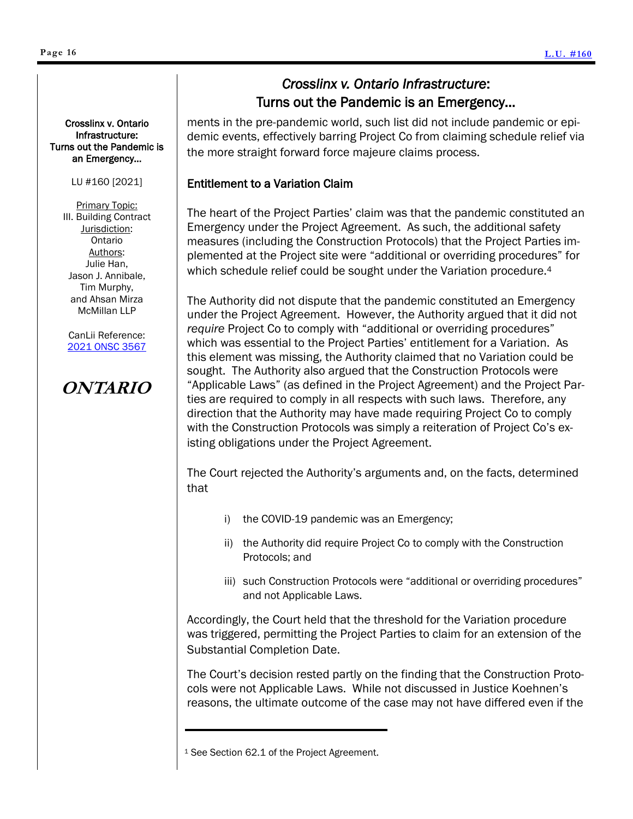ments in the pre-pandemic world, such list did not include pandemic or epidemic events, effectively barring Project Co from claiming schedule relief via the more straight forward force majeure claims process.

#### Entitlement to a Variation Claim

The heart of the Project Parties' claim was that the pandemic constituted an Emergency under the Project Agreement. As such, the additional safety measures (including the Construction Protocols) that the Project Parties implemented at the Project site were "additional or overriding procedures" for which schedule relief could be sought under the Variation procedure.<sup>4</sup>

The Authority did not dispute that the pandemic constituted an Emergency under the Project Agreement. However, the Authority argued that it did not *require* Project Co to comply with "additional or overriding procedures" which was essential to the Project Parties' entitlement for a Variation. As this element was missing, the Authority claimed that no Variation could be sought. The Authority also argued that the Construction Protocols were "Applicable Laws" (as defined in the Project Agreement) and the Project Parties are required to comply in all respects with such laws. Therefore, any direction that the Authority may have made requiring Project Co to comply with the Construction Protocols was simply a reiteration of Project Co's existing obligations under the Project Agreement.

The Court rejected the Authority's arguments and, on the facts, determined that

- i) the COVID-19 pandemic was an Emergency;
- ii) the Authority did require Project Co to comply with the Construction Protocols; and
- iii) such Construction Protocols were "additional or overriding procedures" and not Applicable Laws.

Accordingly, the Court held that the threshold for the Variation procedure was triggered, permitting the Project Parties to claim for an extension of the Substantial Completion Date.

The Court's decision rested partly on the finding that the Construction Protocols were not Applicable Laws. While not discussed in Justice Koehnen's reasons, the ultimate outcome of the case may not have differed even if the

<sup>1</sup> See Section 62.1 of the Project Agreement.

Crosslinx v. Ontario Infrastructure: Turns out the Pandemic is an Emergency…

LU #160 [2021]

Primary Topic: III. Building Contract Jurisdiction: Ontario Authors: Julie Han, Jason J. Annibale, Tim Murphy, and Ahsan Mirza McMillan LLP

CanLii Reference: [2021 ONSC 3567](https://www.canlii.org/en/on/onsc/doc/2021/2021onsc3567/2021onsc3567.html?resultIndex=1)

# **ONTARIO**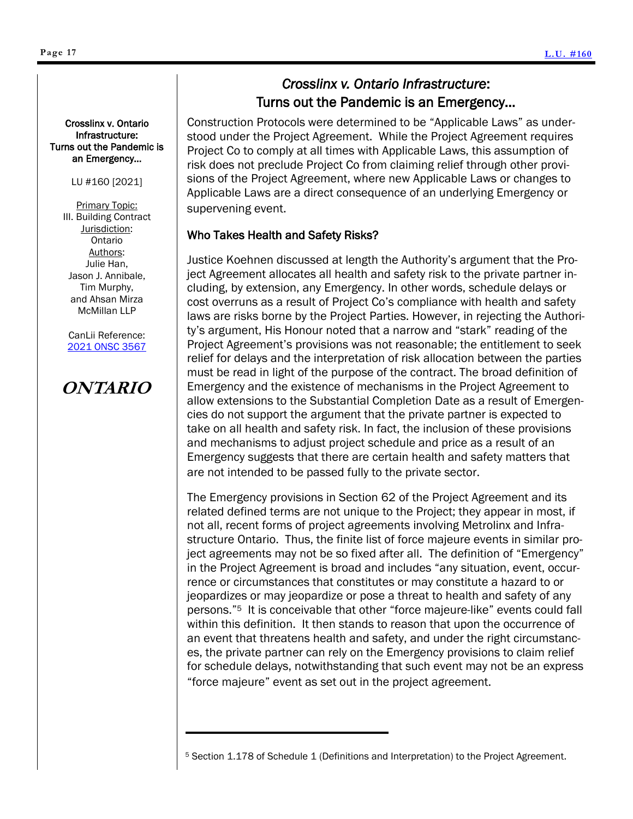#### Turns out the Pandemic is an Emergency…

LU #160 [2021]

Primary Topic: III. Building Contract Jurisdiction: Ontario Authors: Julie Han, Jason J. Annibale, Tim Murphy, and Ahsan Mirza McMillan LLP

CanLii Reference: [2021 ONSC 3567](https://www.canlii.org/en/on/onsc/doc/2021/2021onsc3567/2021onsc3567.html?resultIndex=1)

# **ONTARIO**

### *Crosslinx v. Ontario Infrastructure*: Turns out the Pandemic is an Emergency…

Construction Protocols were determined to be "Applicable Laws" as understood under the Project Agreement. While the Project Agreement requires Project Co to comply at all times with Applicable Laws, this assumption of risk does not preclude Project Co from claiming relief through other provisions of the Project Agreement, where new Applicable Laws or changes to Applicable Laws are a direct consequence of an underlying Emergency or supervening event.

### Who Takes Health and Safety Risks?

Justice Koehnen discussed at length the Authority's argument that the Project Agreement allocates all health and safety risk to the private partner including, by extension, any Emergency. In other words, schedule delays or cost overruns as a result of Project Co's compliance with health and safety laws are risks borne by the Project Parties. However, in rejecting the Authority's argument, His Honour noted that a narrow and "stark" reading of the Project Agreement's provisions was not reasonable; the entitlement to seek relief for delays and the interpretation of risk allocation between the parties must be read in light of the purpose of the contract. The broad definition of Emergency and the existence of mechanisms in the Project Agreement to allow extensions to the Substantial Completion Date as a result of Emergencies do not support the argument that the private partner is expected to take on all health and safety risk. In fact, the inclusion of these provisions and mechanisms to adjust project schedule and price as a result of an Emergency suggests that there are certain health and safety matters that are not intended to be passed fully to the private sector.

The Emergency provisions in Section 62 of the Project Agreement and its related defined terms are not unique to the Project; they appear in most, if not all, recent forms of project agreements involving Metrolinx and Infrastructure Ontario. Thus, the finite list of force majeure events in similar project agreements may not be so fixed after all. The definition of "Emergency" in the Project Agreement is broad and includes "any situation, event, occurrence or circumstances that constitutes or may constitute a hazard to or jeopardizes or may jeopardize or pose a threat to health and safety of any persons."<sup>5</sup> It is conceivable that other "force majeure-like" events could fall within this definition. It then stands to reason that upon the occurrence of an event that threatens health and safety, and under the right circumstances, the private partner can rely on the Emergency provisions to claim relief for schedule delays, notwithstanding that such event may not be an express "force majeure" event as set out in the project agreement.

<sup>5</sup> Section 1.178 of Schedule 1 (Definitions and Interpretation) to the Project Agreement.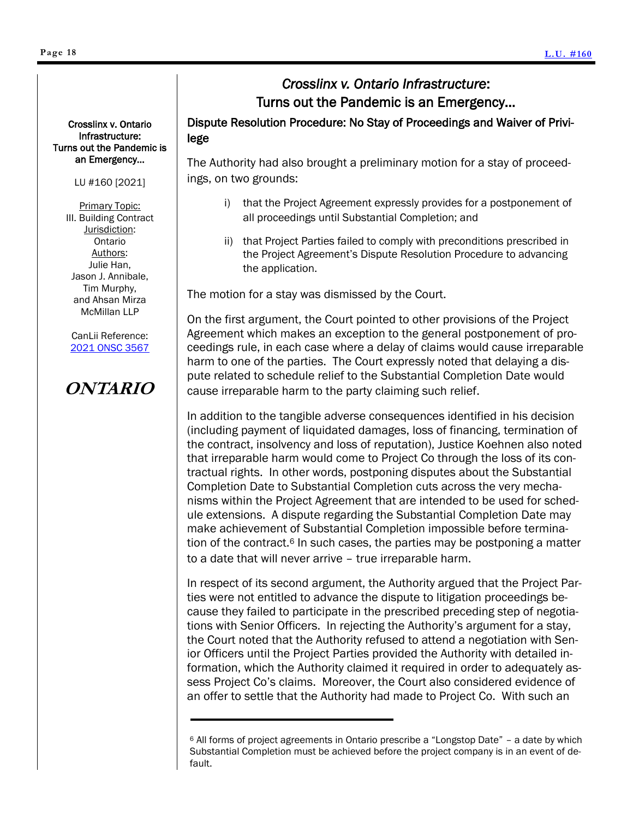Crosslinx v. Ontario Infrastructure: Turns out the Pandemic is an Emergency…

#### LU #160 [2021]

Primary Topic: III. Building Contract Jurisdiction: Ontario Authors: Julie Han, Jason J. Annibale, Tim Murphy, and Ahsan Mirza McMillan LLP

CanLii Reference: [2021 ONSC 3567](https://www.canlii.org/en/on/onsc/doc/2021/2021onsc3567/2021onsc3567.html?resultIndex=1)

### **ONTARIO**

Dispute Resolution Procedure: No Stay of Proceedings and Waiver of Privilege

The Authority had also brought a preliminary motion for a stay of proceedings, on two grounds:

- i) that the Project Agreement expressly provides for a postponement of all proceedings until Substantial Completion; and
- ii) that Project Parties failed to comply with preconditions prescribed in the Project Agreement's Dispute Resolution Procedure to advancing the application.

The motion for a stay was dismissed by the Court.

On the first argument, the Court pointed to other provisions of the Project Agreement which makes an exception to the general postponement of proceedings rule, in each case where a delay of claims would cause irreparable harm to one of the parties. The Court expressly noted that delaying a dispute related to schedule relief to the Substantial Completion Date would cause irreparable harm to the party claiming such relief.

In addition to the tangible adverse consequences identified in his decision (including payment of liquidated damages, loss of financing, termination of the contract, insolvency and loss of reputation), Justice Koehnen also noted that irreparable harm would come to Project Co through the loss of its contractual rights. In other words, postponing disputes about the Substantial Completion Date to Substantial Completion cuts across the very mechanisms within the Project Agreement that are intended to be used for schedule extensions. A dispute regarding the Substantial Completion Date may make achievement of Substantial Completion impossible before termination of the contract.<sup>6</sup> In such cases, the parties may be postponing a matter to a date that will never arrive – true irreparable harm.

In respect of its second argument, the Authority argued that the Project Parties were not entitled to advance the dispute to litigation proceedings because they failed to participate in the prescribed preceding step of negotiations with Senior Officers. In rejecting the Authority's argument for a stay, the Court noted that the Authority refused to attend a negotiation with Senior Officers until the Project Parties provided the Authority with detailed information, which the Authority claimed it required in order to adequately assess Project Co's claims. Moreover, the Court also considered evidence of an offer to settle that the Authority had made to Project Co. With such an

<sup>6</sup> All forms of project agreements in Ontario prescribe a "Longstop Date" – a date by which Substantial Completion must be achieved before the project company is in an event of default.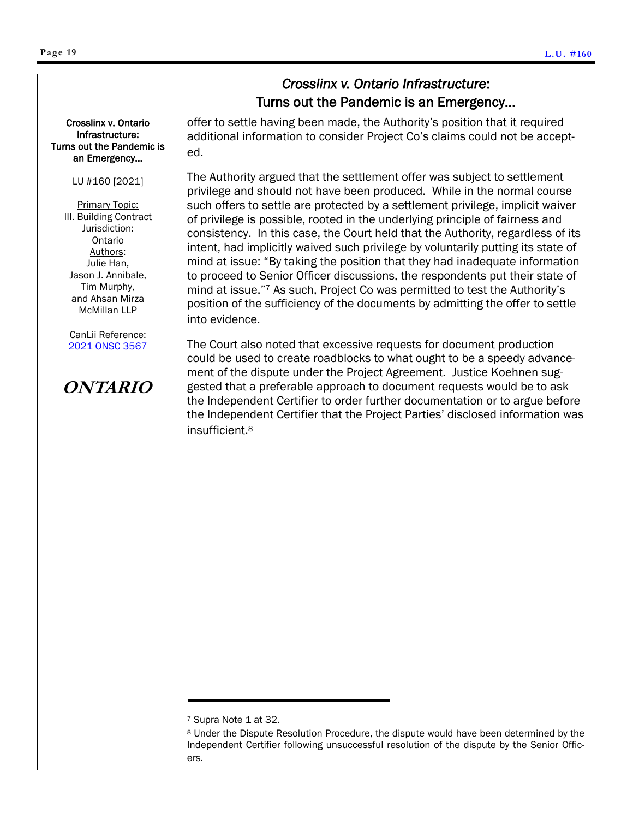Crosslinx v. Ontario Infrastructure: Turns out the Pandemic is an Emergency…

#### LU #160 [2021]

Primary Topic: III. Building Contract Jurisdiction: Ontario Authors: Julie Han, Jason J. Annibale, Tim Murphy, and Ahsan Mirza McMillan LLP

CanLii Reference: [2021 ONSC 3567](https://www.canlii.org/en/on/onsc/doc/2021/2021onsc3567/2021onsc3567.html?resultIndex=1)

# **ONTARIO**

offer to settle having been made, the Authority's position that it required additional information to consider Project Co's claims could not be accepted.

The Authority argued that the settlement offer was subject to settlement privilege and should not have been produced. While in the normal course such offers to settle are protected by a settlement privilege, implicit waiver of privilege is possible, rooted in the underlying principle of fairness and consistency. In this case, the Court held that the Authority, regardless of its intent, had implicitly waived such privilege by voluntarily putting its state of mind at issue: "By taking the position that they had inadequate information to proceed to Senior Officer discussions, the respondents put their state of mind at issue."<sup>7</sup> As such, Project Co was permitted to test the Authority's position of the sufficiency of the documents by admitting the offer to settle into evidence.

The Court also noted that excessive requests for document production could be used to create roadblocks to what ought to be a speedy advancement of the dispute under the Project Agreement. Justice Koehnen suggested that a preferable approach to document requests would be to ask the Independent Certifier to order further documentation or to argue before the Independent Certifier that the Project Parties' disclosed information was insufficient.<sup>8</sup>

<sup>7</sup> Supra Note 1 at 32.

<sup>8</sup> Under the Dispute Resolution Procedure, the dispute would have been determined by the Independent Certifier following unsuccessful resolution of the dispute by the Senior Officers.